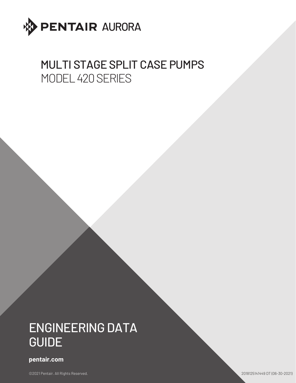

## MULTI STAGE SPLIT CASE PUMPS MODEL 420 SERIES

# ENGINEERING DATA GUIDE

#### **pentair.com**

©2021 Pentair. All Rights Reserved. 2018125141449 DT (06-30-2021)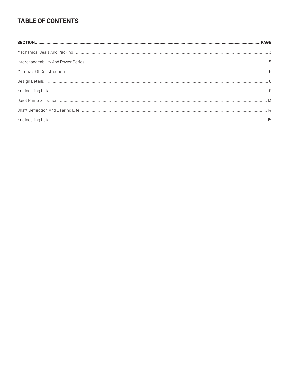### **TABLE OF CONTENTS**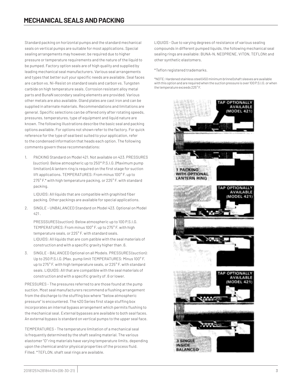Standard packing on horizontal pumps and the standard mechanical seals on vertical pumps are suitable for most applications. Special sealing arrangements may however, be required due to higher pressure or temperature requirements and the nature of the liquid to be pumped. Factory option seals are of high quality and supplied by leading mechanical seal manufacturers. Various seal arrangements and types that better suit your specific needs are available. Seal faces are carbon vs. Ni-Resist on standard seals and carbon vs. Tungsten carbide on high temperature seals. Corrosion resistant alloy metal parts and BunaN secondary sealing elements are provided. Various other metals are also available. Gland plates are cast iron and can be supplied in alternate materials. Recommendations and limitations are general. Specific selections can be offered only after rotating speeds, pressures, temperatures, type of equipment and liquid nature are known. The following illustrations describe the basic seal and packing options available. For options not shown refer to the factory. For quick reference for the type of seal best suited to your application, refer to the condensed information that heads each option. The following comments govern these recommendations:

1. PACKING Standard on Model 421. Not available on 423. PRESSURES (suction): Below atmospheric up to 250\* P.S.I.G. (Maximum pump limitation) A lantern ring is required on the first stage for suction lift applications. TEMPERATURES: From minus 100° F. up to 275° F.\* with high temperature packing, or 225° F. with standard packing.

LIQUIDS: All liquids that are compatible with graphited fiber packing. Other packings are available for special applications.

2. SINGLE - UNBALANCED Standard on Model 423. Optional on Model 421 .

PRESSSURES (suction): Below atmospheric up to 100 P.S.I.G. TEMPERATURES: From minus 100° F. up to 275° F. with high temperature seals, or 225° F. with standard seals. LIQUIDS: All liquids that are com patible with the seal materials of construction and with a specific gravity higher than .6.

3. SINGLE - BALANCED Optional on all Models. PRESSURES (suction): Up to 250 P.S.I.G. (Max. pump limit TEMPERATURES: Minus 100° F. up to 275° F. with high temperature seals, or 225° F. with standard seals. LIQUIDS: All that are compatible with the seal materials of construction and with a specific gravity of .6 or lower.

PRESSURES - The pressures referred to are those found at the pump suction. Most seal manufacturers recommend a flushing arrangement from the discharge to the stuffing box where '"below atmospheric pressure" is encountered. The 420 Series first stage stuffing box incorporates an internal bypass arrangement which permits flushing to the mechanical seal. External bypasses are available to both seal faces. An external bypass is standard on vertical pumps to the upper seal face.

TEMPERATURES - The temperature limitation of a mechanical seal is frequently determined by the shaft sealing material. The various elastomer "O" ring materials have varying temperature limits, depending upon the chemical and/or physical properties of the process fluid. Filled. \*TEFLON, shaft seal rings are available.

LIQUIDS - Due to varying degrees of resistance of various sealing compounds in different pumped liquids, the following mechanical seal sealing rings are available: BUNA-N, NEOPRENE, VITON, TEFLONt and other synthetic elastomers.

\*Teflon registered trademarks.

\*NOTE: Hardened stainless steel (450 minimum brinnel) shaft sleeves are available with this option and are required when the suction pressure is over 100 P.S.l.G. or when the temperature exceeds 225° F.

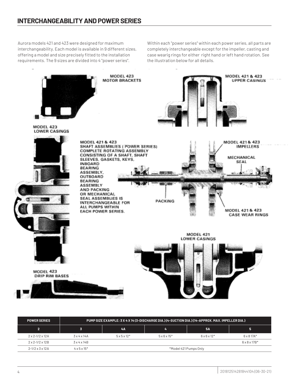Aurora models 421 and 423 were designed for maximum interchangeability. Each model is available in 9 different sizes, offering a model and size precisely fitted to the installation requirements. The 9 sizes are divided into 4 "power series".

Within each "power series" within each power series, all parts are completely interchangeable except for the impeller, casting and case wearig rings for either right hand or left hand rotation. See the illustration below for all details.



| <b>POWER SERIES</b>                      | PUMP SIZE EXAMPLE: 3 X 4 X 14 (3-DISCHARGE DIA.) (4-SUCTION DIA.) (14-APPROX. MAX. IMPELLER DIA.) |                          |                          |                          |                          |  |  |  |  |  |
|------------------------------------------|---------------------------------------------------------------------------------------------------|--------------------------|--------------------------|--------------------------|--------------------------|--|--|--|--|--|
| $\overline{2}$                           |                                                                                                   | 4Α                       |                          | <b>5A</b>                | 5                        |  |  |  |  |  |
| $2 \times 2 - 1/2 \times 12$ $\triangle$ | $3 \times 4 \times 14$ A                                                                          | $5 \times 5 \times 12^*$ | $5 \times 6 \times 15^*$ | $6 \times 6 \times 12^*$ | $6 \times 817$ A*        |  |  |  |  |  |
| $2 \times 2 - 1/2 \times 12B$            | $3 \times 4 \times 14B$                                                                           |                          |                          |                          | $6 \times 8 \times 17B*$ |  |  |  |  |  |
| $2 - 1/2 \times 3 \times 12$ A           | $4 \times 5 \times 15^{*}$                                                                        | *Model 421 Pumps Only    |                          |                          |                          |  |  |  |  |  |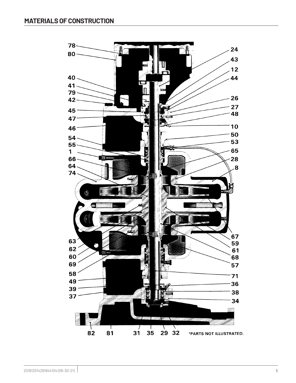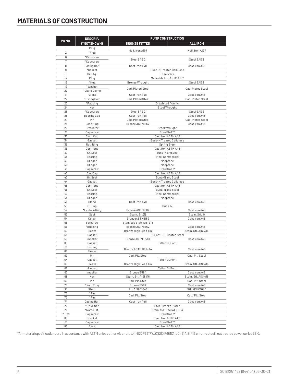## **MATERIALS OF CONSTRUCTION**

|                | <b>DESCRIP.</b>          | <b>PUMP CONSTRUCTION</b>                    |                                         |  |  |  |  |  |
|----------------|--------------------------|---------------------------------------------|-----------------------------------------|--|--|--|--|--|
| PC NO.         | (*NOTSHOWN)              | <b>BRONZE FITTED</b>                        | <b>ALL IRON</b>                         |  |  |  |  |  |
| 1              | Plug                     |                                             |                                         |  |  |  |  |  |
| $\overline{2}$ | *Plug                    | Mall. Iron A197                             | Mall. Iron A197                         |  |  |  |  |  |
| 6              | *Capscrew                |                                             |                                         |  |  |  |  |  |
| 7              | *Capscrew                | Steel SAE 2                                 | Steel SAE 2                             |  |  |  |  |  |
| 8              | Casing Half              | Cast Iron A48                               | Cast Iron A48                           |  |  |  |  |  |
| 9              | *Gasket                  |                                             | <b>Buna-N Treated Cellulose</b>         |  |  |  |  |  |
| 10             | Gr. Ftg.                 |                                             | Steel Zerk                              |  |  |  |  |  |
| 12<br>18       | Plug<br>*Nut             |                                             | Malleable Iron ASTM A197<br>Steel SAE 2 |  |  |  |  |  |
| 19             | *Washer                  | Bronze Wrought                              |                                         |  |  |  |  |  |
| 20             | *Gland Clamp             | Cad. Plated Steel                           | Cad. Plated Steel                       |  |  |  |  |  |
| 21             | *Gland                   | Cast Iron A48                               | Cast Iron A48                           |  |  |  |  |  |
| 22             | *Swing Bolt              | Cad. Plated Steel                           | Cad. Plated Steel                       |  |  |  |  |  |
| 23             | *Packing                 |                                             | Graphited Acrylic                       |  |  |  |  |  |
| 24             | Key                      |                                             | Steel Wrought                           |  |  |  |  |  |
| 25             | *Capscrew                | Steel SAE 2                                 | Steel SAE 2                             |  |  |  |  |  |
| 26<br>27       | Bearing Cap<br>Pin       | Cast Iron A48<br>Cad. Plated Steel          | Cast Iron A48<br>Cad. Plated Steel      |  |  |  |  |  |
| 28             | Case Ring                | Bronze ASTM B62                             | Cast Iron A48                           |  |  |  |  |  |
| 29             | Protector                |                                             | Steel Wrought                           |  |  |  |  |  |
| 31             | Capscrew                 |                                             | Steel SAE 2                             |  |  |  |  |  |
| 32             | Cart. Cap                |                                             | Cast Iron ASTM A48                      |  |  |  |  |  |
| 34             | Gasket                   |                                             | <b>Buna-N Treated Cellulose</b>         |  |  |  |  |  |
| 35             | Ret. Ring                |                                             | Spring Steel                            |  |  |  |  |  |
| 36             | Cartridge                |                                             | Cast Iron ASTM A48                      |  |  |  |  |  |
| 37<br>38       | Gr. Seal                 |                                             | Buna-N and Seal<br>Steel Commercial     |  |  |  |  |  |
| 39             | Bearing<br>Slinger       |                                             | Neoprene                                |  |  |  |  |  |
| 40             | Slinger                  |                                             | Neoprene                                |  |  |  |  |  |
| 41             | Capscrew                 |                                             | Steel SAE 2                             |  |  |  |  |  |
| 42             | Car. Cap                 |                                             | Cast Iron ASTM A48                      |  |  |  |  |  |
| 43             | Gr. Seal                 |                                             | Buna-N and Steel                        |  |  |  |  |  |
| 44             | Gasket                   |                                             | <b>Buna-N Treated Cellulose</b>         |  |  |  |  |  |
| 45             | Cartridge                |                                             | Cast Iron ASTM A48<br>Buna-N and Steel  |  |  |  |  |  |
| 46<br>47       | Gr. Seal<br>Bearing      |                                             | Steel Commercial                        |  |  |  |  |  |
| 48             | Slinger                  |                                             | Neoprene                                |  |  |  |  |  |
| 49             | Gland                    | Cast iron A48                               | Cast Iron A48                           |  |  |  |  |  |
| 50             | 0-Ring                   |                                             | Buna-N                                  |  |  |  |  |  |
| 52             | *Lantern Ring            | Bronze ASTM B62                             | Cast Iron A48                           |  |  |  |  |  |
| 53             | Seal                     | Stain. Stl.(1)                              | Stain. Stl.(1)                          |  |  |  |  |  |
| 54             | Collar                   | BronzeASTM B62                              | Cast Iron A48                           |  |  |  |  |  |
| 55<br>56       | Setscrew<br>*Bushing     | Stainless Steel AISI 316<br>Bronze ASTM B62 | Cast Iron A48                           |  |  |  |  |  |
| 57             | Sleeve                   | Bronze High Lead Tin                        | Stain. Stl. AISI 316                    |  |  |  |  |  |
| 58             | Gasket                   |                                             | DuPont TFE Coated Steel                 |  |  |  |  |  |
| 59             | Impeller                 | Bronze ASTM B584                            | Cast Iron A48                           |  |  |  |  |  |
| 60             | Gasket                   |                                             | Teflon DuPont                           |  |  |  |  |  |
| 61             | Bushing                  | Bronze ASTM B62-A4                          | Cast Iron A48                           |  |  |  |  |  |
| 62             | Sleeve                   |                                             |                                         |  |  |  |  |  |
| 63             | Pin                      | Cad. Plt. Steel                             | Cad. Plt. Steel                         |  |  |  |  |  |
| 64             | Gasket                   |                                             | Teflon DuPont                           |  |  |  |  |  |
| 65<br>66       | Sleeve<br>Gasket         | Bronze High Lead Tin                        | Stain. Stl. AISI 316<br>Teflon DuPont   |  |  |  |  |  |
| 67             | Impeller                 | Bronze B584                                 | Cast Iron A48                           |  |  |  |  |  |
| 68             | Key                      | Stain. Stl. AISI 416                        | Stain. Stl. AISI 416                    |  |  |  |  |  |
| 69             | Pin                      | Cad. Plt. Steel                             | Cad. Plt. Steel                         |  |  |  |  |  |
| 70             | *Imp. Ring               | Bronze B584                                 | Cast Iron A48                           |  |  |  |  |  |
| 71             | Shaft                    | Stl. AISI C1045                             | Stl. AISI C1045                         |  |  |  |  |  |
| 72             | *Pin                     | Cad. Plt. Steel                             | Cad/Plt. Steel                          |  |  |  |  |  |
| 73             | *Pin                     |                                             |                                         |  |  |  |  |  |
| 74             | Casing Half              | Cast Iron A48                               | Cast Iron A48<br>Steel Bronze Plated    |  |  |  |  |  |
| 75<br>76       | *Drive Scr<br>*Name Plt. |                                             | Stainless Steel AISI 303                |  |  |  |  |  |
| 78-79          | Capscrew                 |                                             | Steel SAE 2                             |  |  |  |  |  |
| 80             | Bracket                  |                                             | Cast Iron ASTM A48                      |  |  |  |  |  |
| 81             | Capscrew                 |                                             | Steel SAE 2                             |  |  |  |  |  |
| 82             | Base                     |                                             | Cast Iron ASTM A48                      |  |  |  |  |  |

\*All material specifications are in accordance with ASTM unless otherwise noted. (1) B30P66171(JC) (2) XP661C1 (JC) (3) AISI 416 chrome steel heat treated power series 6B-7.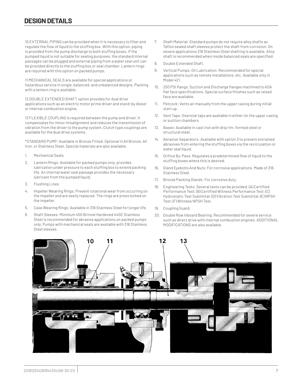10 EXTERNAL PIPING can be provided when it is necessary to filter and regulate the flow of liquid to the stuffing box. With this option, piping is provided from the pump discharge to both stuffing boxes. If the pumped liquid is not suitable for sealing purposes, the standard internal passages can be plugged and external piping from a water seal unit can be provided directly to the stuffing box or seal chamber. Lantern rings are required with this option on packed pumps.

11 MECHANICAL SEALS are available for special applications or hazardous service in single, balanced, and unbalanced designs. Packing with a lantern ring is available.

12 DOUBLE EXTENDED SHAFT option provides for dual drive applications such as an electric motor prime driver and stand-by diesel or internal combustion engine.

13 FLEXIBLE COUPLING is required between the pump and driver. It compensates for minor misalignment and reduces the transmission of vibration from the driver to the pump system. Clutch type couplings are available for the dual drive systems.

\*STANDARD PUMP: Available in Bronze Fitted. Optional in All Bronze, All Iron, or Stainless Steel. Special materials are qlso available.

- 1. Mechanical Seals.
- 2. Lantern Rings: Available for packed pumps only, provides lubrication under pressure to each stuffing box to extend packing life. An internal water seal passage provides the necessary lubricant from the pumped liquid.
- 3. Flushing Lines
- 4. Impeller Wearing Rings: Prevent rotational wear from occurring on the impeller and are easily replaced. The rings are press locked on the impeller.
- 5. Case Wearing Rings: Available in 316 Stainless Steel for longer life.
- 6. Shaft Sleeves: Minimum 450 Brinnel Hardened 440C Stainless Steel is recommended for abrasive applications on packed pumps only. Pumps with mechanical seals are available with 316 Stainless Steel sleeves.
- 7. Shaft Material: Standard pumps do not require alloy shafts as Teflon sealed shaft sleeves protect the shaft from corrosion. On severe applications 316 Stainless Steel shafting is available. Alloy shaft is recommended when inside balanced seals are specified.
- 8. Double Extended Shaft.
- 9. Vertical Pumps. Oil Lubrication: Recommended for special applications such as remote installations, etc. Available only in Model 421.
- 10. 250 PSI flangs: Suction and Discharge flanges machined to ASA flat face specifications. Special surface finishes such as raised face are available.
- 11. Petcock: Vents air manually from the upper casing during initial start up.
- 12. Vent Taps: Oversize taps are available in either /or the upper casing or suction chambers.
- 13. Bases: Available in cast iron with drip rim, formed steel or structural steel.
- 14. Abrasive Separators: Available with option 3 to prevent entrained abrasives from entering the stuffing boxes via the recirculation or water seal liquid.
- 15. Orifice By-Pass: Regulates a predetermined flow of liquid to the stuffing boxes where this is desired.
- 16. Gland Eyebolts And Nuts: For corrosive applications. Made of 316 Stainless Steel.
- 17. Bronze Packing Glands: For corrosive duty.
- 18. Engineering Tests: Several tests can be provided. (A) Certified Performance Test; (B) Certified Witness Performance Test; (C) Hydrostatic Test Submittal; (D) Vibration Test Submittal; (E) NPSH Test; (F) Witness NPSH Test.
- 19. Coupling Guard.
- 20. Double Row Inboard Bearing: Recommended for severe service such as direct drive with internal combustion engines. ADDITIONAL MODIFICATIONS are also available.

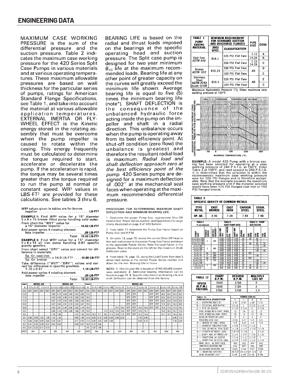MAXIMUM CASE WORKING PRESSURE is the sum of the differential pressure and the suction pressure. Table 2 indicates the maximum case working pressure for the 420 Series Split Case Pumps in various materials and at various operating temperatures. These maximum allowable pressures are based on wall thickness for the particular series of pumps, ratings for American Standard Flange Specifications, see Table 1, and take into account the material at various allowable application temperatures. EXTERNAL INERTIA OR FLY-WHEEL EFFECT is the Kinetic energy stored in the rotating assembly that must be overcome when the pump impeller is caused to rotate within the casing. This energy frequently must be calculated to determine the torque required to start, accelerate or decelerate the pump. If the acceleration is rapid, the torque may be several times greater than the torque required to run the pump at normal or constant speed. WR<sup>2</sup> values in LBS-FT<sup>2</sup> are provided for these calculations. See tables 3 thru 6.

#### WR<sup>2</sup> values given in tables are for bronze  $\ldots$  LB-FT2 impeller . . . . . .

**EXAMPLE 1:** Find WR<sup>2</sup> value for a 15" diameter  $5 \times 6 \times 15$  bronze fitted pump handling cold water. From chart the "WET" value for<br>a 15" diameter impeller ......

 $...$ .16.60 LB-FT<sup>2</sup> Add power series 4 rotating element<br>less impeller .09 LB-FT2

Total 16.69 LB-FT<sup>2</sup> **EXAMPLE 2:** Find WR<sup>2</sup> value for a 15" diameter<br> $5 \times 6 \times 15$  all iron pump handling 0.67 specific<br>gravity gasoline.

From chart select "DRY" value and correct for difference in materials.

 $Sp. Gr. cast iron \times 14.9 LB-FT<sup>2</sup> \ldots$  12.09 LB-FT<sup>2</sup>

Take difference ("WET"-"DRY") values and cor-

Add power series 4 rotating element less impeller .09 LB-FT2

Total 13.32 LB-FT2

BEARING LIFE is based on the radial and thrust loads imposed on the bearings at the specific operating head and suction pressure. The Split case pump is designed for two year minimum  $B_{10}$  life at the maximum recommended loads. Bearing life at any other point of greater capacity on the curves will greatly exceed the minimum life shown. Average bearing life is equal to five (5) times the minimum bearing life (note\*). SHAFT DEFLECTION is the consequence of the unbalanced hydraulic force acting inside the pump on the impeller and shaft in a radial direction. This unbalance occurs when the pump is operating away from its best efficiency point. At shut-off condition (zero flow) the unbalance is greatest and therefore the resultant radial load is maximum. Radial load and shaft deflection approach zero at the best efficiency point of the pump. 420 Series pumps are designed for a maximum deflection of .002" at the mechanical seal faces when operating at the maximum recommended differential pressure.

#### PROCEDURE FOR DETERMINING MAXIMUM SHAFT DEFLECTION AND MINIMUM BEARING LIFE.

1 Determine the proper Pump Size, approximate Shut-Off Head in feet Power Series number, and Speed from the range charts illustrated on page 3 of 420 Bulletin

2 From table 11 determine the Pump Size Factor based on Pump Size and R P M

3 On table 13, page 76, locate the correct Shut-Off Head in feet and read across to the proper Pump Size Factor and down to the applicable Power Series Note the Load Factor in the process Read to the scale on the left for the maximum Shaft Deflection value

4 From table 14, page 76, using the Load Factor from step 3 above read across to the correct Power Series number and down for the min Bearing Life in hours

NOTE: 1. One (1) year life is based on 8740 HOURS (continuous operation) 2. Additional bearing information can be found on page 76 3. Specific information on Bearing Life and shaft Deflection can be obtained from the factory

| <b>TABLE</b> | <b>MODEL 430</b><br><b>MODEL 420</b> |                             |      |                       |      |            |      | <b>TABLE</b>             |                                      | <b>MODEL 420</b> |      |            |                                                   |                          |              |                        |      |                        |            |                        |            |            |                        |             |                 |                         |             |
|--------------|--------------------------------------|-----------------------------|------|-----------------------|------|------------|------|--------------------------|--------------------------------------|------------------|------|------------|---------------------------------------------------|--------------------------|--------------|------------------------|------|------------------------|------------|------------------------|------------|------------|------------------------|-------------|-----------------|-------------------------|-------------|
|              |                                      | $1 - 1/2 \times 3 \times 9$ |      | $2 \times 4 \times 9$ |      |            |      |                          | 2x2-1/2x12A 2x2/1/2x12B 2-/1/2x3x12A |                  | 6    |            | $3 \times 4 \times 14$ A $3 \times 4 \times 14$ B |                          |              | $4 \times 5 \times 15$ |      | $5 \times 5 \times 12$ |            | $5 \times 6 \times 15$ |            |            | $6 \times 6 \times 12$ | 6 x 8 x 17A |                 | $6 \times 8 \times 17B$ |             |
| DIA          | DRY                                  | <b>WET</b>                  | DRY  | WET                   | DRY  | <b>WET</b> | DRY  | <b>WET</b>               | DRY WET                              |                  | DIA  | <b>DRY</b> | <b>WET</b>                                        | <b>DRY</b>               | <b>I</b> WET | DRY WET                |      | <b>DRY</b>             | WE1        | <b>DRY</b>             | <b>WET</b> | <b>DRY</b> | <b>WET</b>             | DRY         | WE <sub>1</sub> | <b>DRY</b>              | <b>IWET</b> |
| 12.0         |                                      |                             | ۰    |                       | 4.96 | 5.19       | 4.69 | 4.99                     | 4.53                                 | 4.88             | 17.0 | -          |                                                   | $\overline{\phantom{a}}$ |              |                        | -    | <b>RTF</b>             | <b>RTF</b> | -                      |            | <b>RTF</b> | <b>RTF</b>             | 26.6        | 30.3            | 25.0                    | 28.5        |
| 11.5         |                                      |                             |      |                       | 4.29 | 4.45       | 3.95 | 4.18                     | 3.65                                 | 3.92             | 16.5 | -          |                                                   | ۰                        |              |                        | -    | <b>RTF</b>             | <b>RTF</b> | -                      |            | <b>RTF</b> | <b>RTF</b>             | 22.6        | 25.5            | 21.6                    | 24.5        |
| 11.0         | -                                    |                             | -    |                       | 3.67 | 3.75       | 3.43 | 3.65                     | 2.98                                 | 3.20             | 16.0 | -          |                                                   | -                        | ÷            |                        | -    | <b>RTF</b>             | <b>RTF</b> | -                      |            | <b>RTF</b> | <b>RTF</b>             | 20.0        | 22.6            | 19.9                    | 22.6        |
| 10.5         |                                      |                             |      |                       | 2.97 | 3.04       | 2.91 | 3.10                     | 2.42                                 | 2.61             | 15.5 | -          |                                                   | -                        |              |                        | -    | <b>RTF</b>             | <b>RTF</b> | -                      |            | <b>RTF</b> | <b>RTF</b>             | 17.8        | 20.1            | 18.4                    | 120.9       |
| 10.0         |                                      |                             |      |                       | 2.52 | 2.61       | 2.44 | 2.58                     | 2.02                                 | 2.19             | 15.0 | -          |                                                   | -                        |              | 14.7                   | 16.4 | <b>RTF</b>             | <b>RTF</b> | 14.9                   | 16.6       | <b>RTF</b> | <b>RTF</b>             | 15.8        | 17.9            | 17.0                    | 19.3        |
| 9.5          |                                      |                             |      |                       | 2.08 | 2.16       | 1.94 | 2.06                     | 1.66                                 | 1.78             | 14.5 | -          |                                                   | 11.3                     | 12.3         | 12.5                   | 13.8 | <b>RTF</b>             | <b>RTF</b> | 13.5                   | 15.1       | -          | -                      | 14.5        | 16.2            | 15.7                    | 17.8        |
| 9.0          |                                      |                             |      |                       | 1.75 | 1.80       |      | $\overline{\phantom{0}}$ | 1.41                                 | 1.52             | 14.0 | 10.2       | 11.1                                              | 10.2                     | 11.2         | 10.8                   | 11.9 | <b>RTF</b>             | <b>RTF</b> | 12.2                   | 13.6       | -          | -                      | 13.1        | 14.7            | 14.5                    | 16.4        |
| 8.0          | 0.86                                 | 0.89                        | 1.02 | 1.08                  | 1.18 | 1.22       | -    | <u>. .</u>               | 0.99                                 | 1.06             | 12.0 | 5.65       | 6.10                                              | 5.80                     | 6.30         | 5.80                   | 6.25 |                        | -          | 7.24                   | 8.05       | -          | -                      |             | ۰               | 9.85                    | 11.0        |
| 7.0          | 0.58                                 | 0.60                        | 0.59 | 0.64                  | 0.79 | 0.81       | -    | $\overline{\phantom{a}}$ | 0.71                                 | 0.76             | 11.0 | 4.00       | 4.34                                              | 4.05                     | 4.40         |                        | -    |                        | -          | 5.55                   | 6.15       | -          | -                      |             | -               | 7.30 8.20               |             |
| 6.0          | 0.41                                 | 0.43                        | 0.28 | 0.31                  | 0.52 | 0.54       | -    | -                        | 0.48                                 | 0.51             | 10.0 | 2.72       | 2.94                                              | $\overline{\phantom{m}}$ | -            | -                      | -    | -                      | -          | -                      |            | -          | -                      |             |                 | -                       |             |
| 6.0          | 0.31                                 | 0.32                        | 0.11 | 0.13                  |      | -          |      | -                        |                                      |                  | 9.0  | 1.67       | 1.85                                              | -                        | -            | -                      | -    | -                      | -          | -                      |            | ۰          | -                      | -           |                 | -                       | -           |
| IWGT.        |                                      | 20#                         | 18#  |                       | 35#  |            | 34#  |                          | 33#                                  |                  | WGT  |            | 56#                                               | 56#                      |              |                        | 67#  | 40#                    |            |                        | 72#        |            | 42#                    |             | 100#            | 98#                     |             |

| <b>TABLE 1</b><br>PUMP<br><b>CASING</b> | PIPE<br><b>SIZE</b> | CODE              |        |   |   |
|-----------------------------------------|---------------------|-------------------|--------|---|---|
| <b>MATERIAL</b>                         | ANSI<br>SPEC.       | CLASSIFICATION    |        |   |   |
|                                         |                     | 125 PSI Flat Face | $1-12$ | А |   |
| Cast Iron<br>ASTM A48                   | B16.1               |                   | 14-24  | R |   |
|                                         |                     | 250 PSI Flat Face |        |   | c |
| Bronze                                  | B16.24              | 150 PSI Flat Face |        | Đ |   |
| ASTM B62                                |                     | 300 PSI Flat Face | All    | c |   |
| <b>Stainless</b><br>Steel               | B16.5               | 150 PSI Flat Face |        | E |   |
| ASTM A743<br>Grade CF8M                 |                     | 300 PSI Flat Face | All    | c |   |

Maximum Hydrostatic Pressure 11/2 times maximum case working pressure at 100°F



**EXAMPLE:** A model 420 Pump with a bronze cas-<br>ing has been selected for operating at a case<br>working pressure of 240 P.S.I.G. at 150°F, Enter<br>Table 2 at 150°F, and read upward to 240 P.S.I.G.<br>It is determined that the sel

| <b>TABLE 3</b><br><b>SPECIFIC GRAVITY OF COMMON METALS</b>                                      |                                  |                                                                                          |                         |                         |                         |  |                             |            |                      |              |  |
|-------------------------------------------------------------------------------------------------|----------------------------------|------------------------------------------------------------------------------------------|-------------------------|-------------------------|-------------------------|--|-----------------------------|------------|----------------------|--------------|--|
| TYPE<br><b>CAST</b><br><b>METAL</b><br><b>BRONZE</b>                                            |                                  |                                                                                          | CAST<br><b>IRON</b>     |                         |                         |  | CARBON<br>STEEL             |            | STAIN.<br>STEEL      |              |  |
| 8.86<br>SP.GR.                                                                                  |                                  |                                                                                          |                         | 7.20                    |                         |  | 7.84                        |            | 7.90                 |              |  |
| <b>TABLE 4</b><br>(† LESS IMPELLER)                                                             |                                  | <b>TABLE 9</b><br><b>TABLE 11 - PUMP</b><br><b>OUIET PUMP DATA</b><br><b>SIZE FACTOR</b> |                         |                         |                         |  |                             |            |                      |              |  |
| ₽UMP<br>SIZE                                                                                    | POWER<br>SERIES<br><b>SERIES</b> | ELEMENT<br>WR <sup>2</sup> ROT                                                           | MAX. IMP.<br>Dia.       | <b>MATER</b><br>요       | ÎM.<br>旨<br>들           |  | SPHERE<br>Dia,              | 98M<br>RPM | 露                    | 횶            |  |
| $2 \times 2 - 1/2 \times 12A$<br>$2 \times 2 - 1/2 \times 12B$<br>$2 - 1/2 \times 3 \times 12B$ | $\mathfrak z$                    | .025                                                                                     | 12.00<br>12.00<br>12.00 | 13.25<br>13.25<br>13.25 | 11.25<br>11.25<br>11.25 |  | 25<br>$\overline{31}$<br>25 | .50<br>.60 | .65<br>.70<br>.65    | .70          |  |
| 3x4x14A<br>$3 \times 4 \times 14B$<br>$4 \times 5 \times 15$                                    | 3                                | .060                                                                                     | 14.00<br>14.50<br>15.00 | 15.50<br>15.50<br>16.53 | 13.25<br>13.25<br>14.00 |  | .50<br>.43<br>.68           |            | 1.15<br>1.10<br>1.40 | 1.25<br>1.50 |  |
| 5x5x12                                                                                          | 4A                               | <b>RTF</b>                                                                               | 12.00                   | 13.13                   | 12.00                   |  | .70                         | <b>RTF</b> |                      |              |  |
| $5 \times 6 \times 16$                                                                          | 4                                | .099                                                                                     | 15.00                   | 16.56                   | 14.00                   |  | .68                         |            | 1.40                 | -            |  |
| $6 \times 6 \times 12$                                                                          | 5А                               | <b>RTF</b>                                                                               | 12.00                   | 13.13                   | 12.00                   |  | .70                         | <b>RTF</b> |                      | -            |  |
| $6 \times 6 \times 17$ A<br>$6 \times 8 \times 17B$                                             | 5                                | 210                                                                                      | 17.00<br>17.00          | 18.75<br>18.75          | 16.00<br>16.00          |  | .68<br>.81                  |            | 1.80<br>1.65         | 1.75         |  |
| $1 - 1/2 \times 3 \times 9$                                                                     | $\overline{\phantom{a}}$         | .025                                                                                     | 8.75                    | 9.50                    | 8.00                    |  | .25                         | .40        | .45                  |              |  |
| 2x4x9                                                                                           |                                  |                                                                                          | 8.62                    | 8.53                    | 8.00                    |  | $\overline{31}$             | 45         | 50                   |              |  |

| <b>TABLE 12</b> | <b>CHART</b><br>R.P.M. | <b>DESIRED</b><br><b>R.P.M.</b> | <b>MULTIPLY</b><br>LIFE BY |
|-----------------|------------------------|---------------------------------|----------------------------|
| <b>SPEED</b>    | 3500                   | 1750                            |                            |
| (R.P.M.)        | 3500                   | 1150                            |                            |
| <b>FACTORS</b>  | .750                   |                                 |                            |

| <b>TABLE 15</b>                 |                | <b>POWER SERIES</b> |                |                |  |  |  |  |  |
|---------------------------------|----------------|---------------------|----------------|----------------|--|--|--|--|--|
| DIMENSION & DESCRIPTION         | $\mathbf{Z}$   | 3.                  | 4              | 5.             |  |  |  |  |  |
| A - STUFFING BOX I.D.           | 2.43           | 2.81                | 3.06           | 3.43           |  |  |  |  |  |
| <b>B</b> --- STUFFING BOX DEPTH | $3 - 1/8$      | $\overline{3}$      | $3 - 1/2$      | $3 - 3/4$      |  |  |  |  |  |
| $C = 0.0$ . OF SLEEVE           | $1 - 1/2$      | $1 - 3/4$           | $\mathbf{Z}$   | $2 - 3/8$      |  |  |  |  |  |
| PKG. RINGS W/O LANT. RING       | $12^{\circ}$   | 10                  | 12             | 12             |  |  |  |  |  |
| PKG. RINGS W/LANT. RING         | 10             | 8                   | 10             | 10             |  |  |  |  |  |
| RING IN FRONT OF LANT.          | $\overline{2}$ | $\overline{2}$      | $\overline{2}$ | $\overline{2}$ |  |  |  |  |  |
| PACKING SIZE (SO.)              | 7/16           | 1/2                 | 1/2            | 1/2            |  |  |  |  |  |
| D - WIDTH OF LANT RING          | 5/8            | 5/8                 | 3/4            | 3/4            |  |  |  |  |  |
| E - NEAREST OBSTRUCTION         | 1.5/8          | $1 - 3/4$           | $1 - 3/4$      | 2              |  |  |  |  |  |
| F - DIA, OF MECH, SEAL SEAT     | $2 - 1/8$      | $2 - 1/2$           | 2.3/4          | $3 - 1/4$      |  |  |  |  |  |
| G - LENGTH OF MECH. SEAL        | 1.9/16         | 1.7/8               | $\overline{2}$ | 2.3/8          |  |  |  |  |  |
| J  SHAFT DIA. AT IMPELLER       | $1 - 3/8$      | 1.5/8               | $1 - 7/8$      | $2 - 1/8$      |  |  |  |  |  |
| K - SHAFT DIA. AT SLEEVE        | 1.1/4          | $1 - 1/2$           | 1.3/4          | -2             |  |  |  |  |  |
| L --- SHAFT DIA, AT CLPG. END   | $1 - 1/8$      | 1.3/8               | $1 - 1/2$      | 1.3/4          |  |  |  |  |  |
| MAX. DEFL. @ SEAL FACE          | .002           | .002                | 002            | .002           |  |  |  |  |  |
| INBOARD BEARING NO.             | 206            | 207                 | 208            | 309            |  |  |  |  |  |
| OUTBOARD BEARING NO.            | 5305           | 5306                | 5307           | 5309           |  |  |  |  |  |
| M - BEARING CENTERS             | 20 3/4         | $24 - 1/2$          | 27.3/8         | 30             |  |  |  |  |  |
| MIN. BEARING LIFE*              | 6 YR.          | 6 YR                | 6 YR           | 6 YR.          |  |  |  |  |  |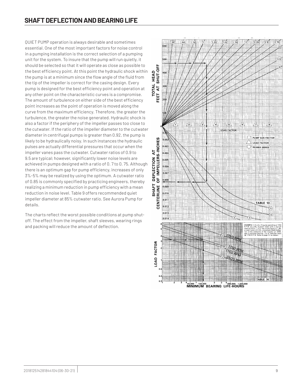QUIET PUMP operation is always desirable and sometimes essential. One of the most important factors for noise control in a pumping installation is the correct selection of a pumping unit for the system. To insure that the pump will run quietly, it should be selected so that it will operate as close as possible to the best efficiency point. At this point the hydraulic shock within the pump is at a minimum since the flow angle of the fluid from the tip of the impeller is correct for the casing design. Every pump is designed for the best efficiency point and operation at any other point on the characteristic curves is a compromise. The amount of turbulence on either side of the best efficiency point increases as the point of operation is moved along the curve from the maximum efficiency. Therefore, the greater the turbulence, the greater the noise generated. Hydraulic shock is also a factor if the periphery of the impeller passes too close to the cutwater. If the ratio of the impeller diameter to the cutwater diameter in centrifugal pumps is greater than 0.92, the pump is likely to be hydraulically noisy. In such instances the hydraulic pulses are actually differential pressures that occur when the impeller vanes pass the cutwater. Cutwater ratios of 0.9 to 9.5 are typical; however, significantly lower noise levels are achieved in pumps designed with a ratio of 0. 7 to 0. 75. Although there is an optimum gap for pump efficiency, increases of only 3%-5% may be realized by using the optimum. A cutwater ratio of 0.85 is commonly specified by practicing engineers, thereby realizing a minimum reduction in pump efficiency with a mean reduction in noise level. Table 9 offers recommended quiet impeller diameter at 85% cutwater ratio. See Aurora Pump for details.

The charts reflect the worst possible conditions at pump shutoff. The effect from the impeller, shaft sleeves, wearing rings and packing will reduce the amount of deflection.